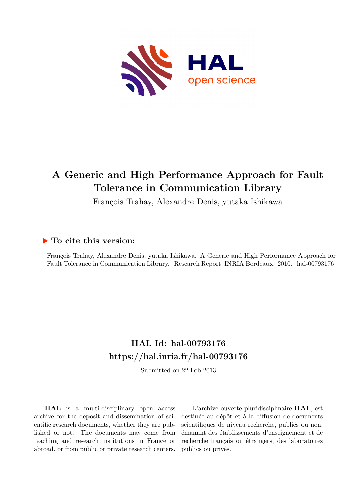

# **A Generic and High Performance Approach for Fault Tolerance in Communication Library**

François Trahay, Alexandre Denis, yutaka Ishikawa

# **To cite this version:**

François Trahay, Alexandre Denis, yutaka Ishikawa. A Generic and High Performance Approach for Fault Tolerance in Communication Library. [Research Report] INRIA Bordeaux. 2010. hal-00793176

# **HAL Id: hal-00793176 <https://hal.inria.fr/hal-00793176>**

Submitted on 22 Feb 2013

**HAL** is a multi-disciplinary open access archive for the deposit and dissemination of scientific research documents, whether they are published or not. The documents may come from teaching and research institutions in France or abroad, or from public or private research centers.

L'archive ouverte pluridisciplinaire **HAL**, est destinée au dépôt et à la diffusion de documents scientifiques de niveau recherche, publiés ou non, émanant des établissements d'enseignement et de recherche français ou étrangers, des laboratoires publics ou privés.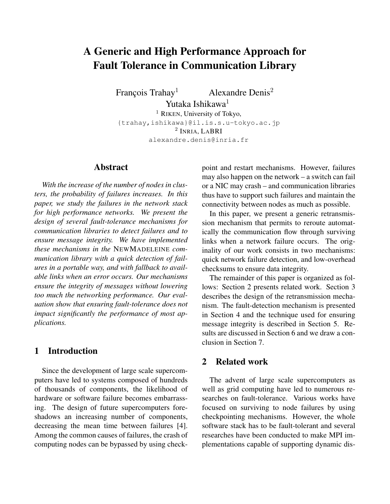# A Generic and High Performance Approach for Fault Tolerance in Communication Library

François Trahay<sup>1</sup> Alexandre Denis<sup>2</sup>

Yutaka Ishikawa<sup>1</sup>

<sup>1</sup> RIKEN, University of Tokyo, {trahay,ishikawa}@il.is.s.u-tokyo.ac.jp 2 INRIA, LABRI alexandre.denis@inria.fr

## Abstract

*With the increase of the number of nodes in clusters, the probability of failures increases. In this paper, we study the failures in the network stack for high performance networks. We present the design of several fault-tolerance mechanisms for communication libraries to detect failures and to ensure message integrity. We have implemented these mechanisms in the* NEWMADELEINE *communication library with a quick detection of failures in a portable way, and with fallback to available links when an error occurs. Our mechanisms ensure the integrity of messages without lowering too much the networking performance. Our evaluation show that ensuring fault-tolerance does not impact significantly the performance of most applications.*

# 1 Introduction

Since the development of large scale supercomputers have led to systems composed of hundreds of thousands of components, the likelihood of hardware or software failure becomes embarrassing. The design of future supercomputers foreshadows an increasing number of components, decreasing the mean time between failures [4]. Among the common causes of failures, the crash of computing nodes can be bypassed by using checkpoint and restart mechanisms. However, failures may also happen on the network – a switch can fail or a NIC may crash – and communication libraries thus have to support such failures and maintain the connectivity between nodes as much as possible.

In this paper, we present a generic retransmission mechanism that permits to reroute automatically the communication flow through surviving links when a network failure occurs. The originality of our work consists in two mechanisms: quick network failure detection, and low-overhead checksums to ensure data integrity.

The remainder of this paper is organized as follows: Section 2 presents related work. Section 3 describes the design of the retransmission mechanism. The fault-detection mechanism is presented in Section 4 and the technique used for ensuring message integrity is described in Section 5. Results are discussed in Section 6 and we draw a conclusion in Section 7.

# 2 Related work

The advent of large scale supercomputers as well as grid computing have led to numerous researches on fault-tolerance. Various works have focused on surviving to node failures by using checkpointing mechanisms. However, the whole software stack has to be fault-tolerant and several researches have been conducted to make MPI implementations capable of supporting dynamic dis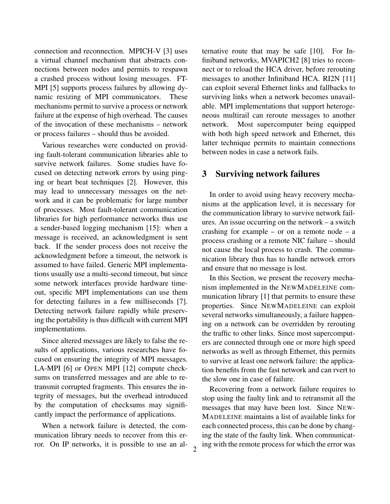connection and reconnection. MPICH-V [3] uses a virtual channel mechanism that abstracts connections between nodes and permits to respawn a crashed process without losing messages. FT-MPI [5] supports process failures by allowing dynamic resizing of MPI communicators. These mechanisms permit to survive a process or network failure at the expense of high overhead. The causes of the invocation of these mechanisms – network or process failures – should thus be avoided.

Various researches were conducted on providing fault-tolerant communication libraries able to survive network failures. Some studies have focused on detecting network errors by using pinging or heart beat techniques [2]. However, this may lead to unnecessary messages on the network and it can be problematic for large number of processes. Most fault-tolerant communication libraries for high performance networks thus use a sender-based logging mechanism [15]: when a message is received, an acknowledgment is sent back. If the sender process does not receive the acknowledgment before a timeout, the network is assumed to have failed. Generic MPI implementations usually use a multi-second timeout, but since some network interfaces provide hardware timeout, specific MPI implementations can use them for detecting failures in a few milliseconds [7]. Detecting network failure rapidly while preserving the portability is thus difficult with current MPI implementations.

Since altered messages are likely to false the results of applications, various researches have focused on ensuring the integrity of MPI messages. LA-MPI [6] or OPEN MPI [12] compute checksums on transferred messages and are able to retransmit corrupted fragments. This ensures the integrity of messages, but the overhead introduced by the computation of checksums may significantly impact the performance of applications.

When a network failure is detected, the communication library needs to recover from this error. On IP networks, it is possible to use an alternative route that may be safe [10]. For Infiniband networks, MVAPICH2 [8] tries to reconnect or to reload the HCA driver, before rerouting messages to another Infiniband HCA. RI2N [11] can exploit several Ethernet links and fallbacks to surviving links when a network becomes unavailable. MPI implementations that support heterogeneous multirail can reroute messages to another network. Most supercomputer being equipped with both high speed network and Ethernet, this latter technique permits to maintain connections between nodes in case a network fails.

## 3 Surviving network failures

In order to avoid using heavy recovery mechanisms at the application level, it is necessary for the communication library to survive network failures. An issue occurring on the network – a switch crashing for example – or on a remote node – a process crashing or a remote NIC failure – should not cause the local process to crash. The communication library thus has to handle network errors and ensure that no message is lost.

In this Section, we present the recovery mechanism implemented in the NEWMADELEINE communication library [1] that permits to ensure these properties. Since NEWMADELEINE can exploit several networks simultaneously, a failure happening on a network can be overridden by rerouting the traffic to other links. Since most supercomputers are connected through one or more high speed networks as well as through Ethernet, this permits to survive at least one network failure: the application benefits from the fast network and can rvert to the slow one in case of failure.

Recovering from a network failure requires to stop using the faulty link and to retransmit all the messages that may have been lost. Since NEW-MADELEINE maintains a list of available links for each connected process, this can be done by changing the state of the faulty link. When communicating with the remote process for which the error was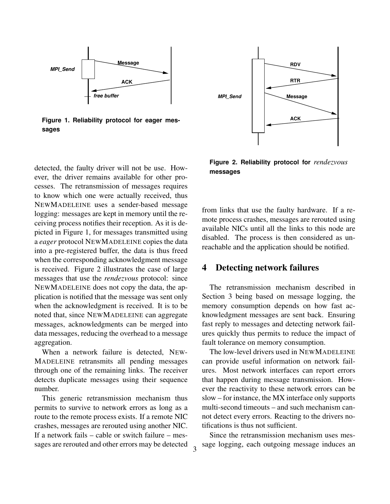

**Figure 1. Reliability protocol for eager messages**

detected, the faulty driver will not be use. However, the driver remains available for other processes. The retransmission of messages requires to know which one were actually received, thus NEWMADELEINE uses a sender-based message logging: messages are kept in memory until the receiving process notifies their reception. As it is depicted in Figure 1, for messages transmitted using a *eager* protocol NEWMADELEINE copies the data into a pre-registered buffer, the data is thus freed when the corresponding acknowledgment message is received. Figure 2 illustrates the case of large messages that use the *rendezvous* protocol: since NEWMADELEINE does not copy the data, the application is notified that the message was sent only when the acknowledgment is received. It is to be noted that, since NEWMADELEINE can aggregate messages, acknowledgments can be merged into data messages, reducing the overhead to a message aggregation.

When a network failure is detected, NEW-MADELEINE retransmits all pending messages through one of the remaining links. The receiver detects duplicate messages using their sequence number.

This generic retransmission mechanism thus permits to survive to network errors as long as a route to the remote process exists. If a remote NIC crashes, messages are rerouted using another NIC. If a network fails – cable or switch failure – messages are rerouted and other errors may be detected



**Figure 2. Reliability protocol for** *rendezvous* **messages**

from links that use the faulty hardware. If a remote process crashes, messages are rerouted using available NICs until all the links to this node are disabled. The process is then considered as unreachable and the application should be notified.

## 4 Detecting network failures

The retransmission mechanism described in Section 3 being based on message logging, the memory consumption depends on how fast acknowledgment messages are sent back. Ensuring fast reply to messages and detecting network failures quickly thus permits to reduce the impact of fault tolerance on memory consumption.

The low-level drivers used in NEWMADELEINE can provide useful information on network failures. Most network interfaces can report errors that happen during message transmission. However the reactivity to these network errors can be slow – for instance, the MX interface only supports multi-second timeouts – and such mechanism cannot detect every errors. Reacting to the drivers notifications is thus not sufficient.

Since the retransmission mechanism uses message logging, each outgoing message induces an

3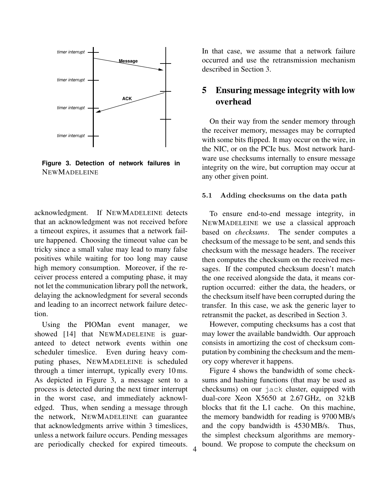

**Figure 3. Detection of network failures in** NEWMADELEINE

acknowledgment. If NEWMADELEINE detects that an acknowledgment was not received before a timeout expires, it assumes that a network failure happened. Choosing the timeout value can be tricky since a small value may lead to many false positives while waiting for too long may cause high memory consumption. Moreover, if the receiver process entered a computing phase, it may not let the communication library poll the network, delaying the acknowledgment for several seconds and leading to an incorrect network failure detection.

Using the PIOMan event manager, we showed [14] that NEWMADELEINE is guaranteed to detect network events within one scheduler timeslice. Even during heavy computing phases, NEWMADELEINE is scheduled through a timer interrupt, typically every 10 ms. As depicted in Figure 3, a message sent to a process is detected during the next timer interrupt in the worst case, and immediately acknowledged. Thus, when sending a message through the network, NEWMADELEINE can guarantee that acknowledgments arrive within 3 timeslices, unless a network failure occurs. Pending messages are periodically checked for expired timeouts.

In that case, we assume that a network failure occurred and use the retransmission mechanism described in Section 3.

# 5 Ensuring message integrity with low overhead

On their way from the sender memory through the receiver memory, messages may be corrupted with some bits flipped. It may occur on the wire, in the NIC, or on the PCIe bus. Most network hardware use checksums internally to ensure message integrity on the wire, but corruption may occur at any other given point.

#### 5.1 Adding checksums on the data path

To ensure end-to-end message integrity, in NEWMADELEINE we use a classical approach based on *checksums*. The sender computes a checksum of the message to be sent, and sends this checksum with the message headers. The receiver then computes the checksum on the received messages. If the computed checksum doesn't match the one received alongside the data, it means corruption occurred: either the data, the headers, or the checksum itself have been corrupted during the transfer. In this case, we ask the generic layer to retransmit the packet, as described in Section 3.

However, computing checksums has a cost that may lower the available bandwidth. Our approach consists in amortizing the cost of checksum computation by combining the checksum and the memory copy wherever it happens.

Figure 4 shows the bandwidth of some checksums and hashing functions (that may be used as checksums) on our jack cluster, equipped with dual-core Xeon X5650 at 2.67 GHz, on 32 kB blocks that fit the L1 cache. On this machine, the memory bandwidth for reading is 9700 MB/s and the copy bandwidth is 4530 MB/s. Thus, the simplest checksum algorithms are memorybound. We propose to compute the checksum on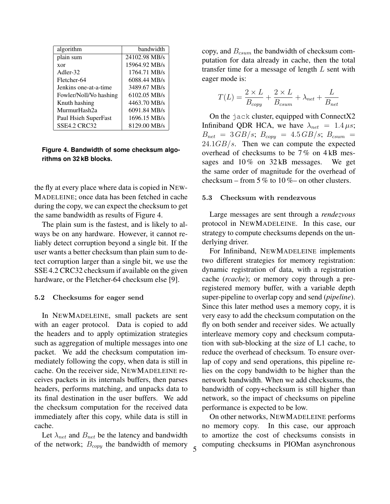| algorithm              | bandwidth     |
|------------------------|---------------|
| plain sum              | 24102.98 MB/s |
| xor                    | 15964.92 MB/s |
| Adler-32               | 1764.71 MB/s  |
| Fletcher-64            | 6088.44 MB/s  |
| Jenkins one-at-a-time  | 3489.67 MB/s  |
| Fowler/Noll/Vo hashing | 6102.05 MB/s  |
| Knuth hashing          | 4463.70 MB/s  |
| MurmurHash2a           | 6091.84 MB/s  |
| Paul Hsieh SuperFast   | 1696.15 MB/s  |
| <b>SSE4.2 CRC32</b>    | 8129.00 MB/s  |

## **Figure 4. Bandwidth of some checksum algorithms on 32 kB blocks.**

the fly at every place where data is copied in NEW-MADELEINE; once data has been fetched in cache during the copy, we can expect the checksum to get the same bandwidth as results of Figure 4.

The plain sum is the fastest, and is likely to always be on any hardware. However, it cannot reliably detect corruption beyond a single bit. If the user wants a better checksum than plain sum to detect corruption larger than a single bit, we use the SSE 4.2 CRC32 checksum if available on the given hardware, or the Fletcher-64 checksum else [9].

### 5.2 Checksums for eager send

In NEWMADELEINE, small packets are sent with an eager protocol. Data is copied to add the headers and to apply optimization strategies such as aggregation of multiple messages into one packet. We add the checksum computation immediately following the copy, when data is still in cache. On the receiver side, NEWMADELEINE receives packets in its internals buffers, then parses headers, performs matching, and unpacks data to its final destination in the user buffers. We add the checksum computation for the received data immediately after this copy, while data is still in cache.

Let  $\lambda_{net}$  and  $B_{net}$  be the latency and bandwidth of the network;  $B_{copy}$  the bandwidth of memory copy, and  $B_{csum}$  the bandwidth of checksum computation for data already in cache, then the total transfer time for a message of length L sent with eager mode is:

$$
T(L) = \frac{2 \times L}{B_{copy}} + \frac{2 \times L}{B_{csum}} + \lambda_{net} + \frac{L}{B_{net}}
$$

On the jack cluster, equipped with ConnectX2 Infiniband QDR HCA, we have  $\lambda_{net} = 1.4 \,\mu s$ ;  $B_{net}$  = 3 GB/s;  $B_{copy}$  = 4.5 GB/s;  $B_{csum}$  =  $24.1GB/s$ . Then we can compute the expected overhead of checksums to be 7 % on 4 kB messages and 10% on 32 kB messages. We get the same order of magnitude for the overhead of checksum – from 5 % to 10 %– on other clusters.

#### 5.3 Checksum with rendezvous

Large messages are sent through a *rendezvous* protocol in NEWMADELEINE. In this case, our strategy to compute checksums depends on the underlying driver.

For Infiniband, NEWMADELEINE implements two different strategies for memory registration: dynamic registration of data, with a registration cache (*rcache*); or memory copy through a preregistered memory buffer, with a variable depth super-pipeline to overlap copy and send (*pipeline*). Since this later method uses a memory copy, it is very easy to add the checksum computation on the fly on both sender and receiver sides. We actually interleave memory copy and checksum computation with sub-blocking at the size of L1 cache, to reduce the overhead of checksum. To ensure overlap of copy and send operations, this pipeline relies on the copy bandwidth to be higher than the network bandwidth. When we add checksums, the bandwidth of copy+checksum is still higher than network, so the impact of checksums on pipeline performance is expected to be low.

On other networks, NEWMADELEINE performs no memory copy. In this case, our approach to amortize the cost of checksums consists in computing checksums in PIOMan asynchronous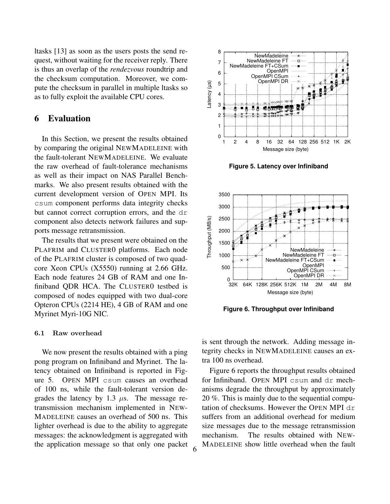ltasks [13] as soon as the users posts the send request, without waiting for the receiver reply. There is thus an overlap of the *rendezvous* roundtrip and the checksum computation. Moreover, we compute the checksum in parallel in multiple ltasks so as to fully exploit the available CPU cores.

## 6 Evaluation

In this Section, we present the results obtained by comparing the original NEWMADELEINE with the fault-tolerant NEWMADELEINE. We evaluate the raw overhead of fault-tolerance mechanisms as well as their impact on NAS Parallel Benchmarks. We also present results obtained with the current development version of OPEN MPI. Its csum component performs data integrity checks but cannot correct corruption errors, and the dr component also detects network failures and supports message retransmission.

The results that we present were obtained on the PLAFRIM and CLUSTER0 platforms. Each node of the PLAFRIM cluster is composed of two quadcore Xeon CPUs (X5550) running at 2.66 GHz. Each node features 24 GB of RAM and one Infiniband QDR HCA. The CLUSTER0 testbed is composed of nodes equipped with two dual-core Opteron CPUs (2214 HE), 4 GB of RAM and one Myrinet Myri-10G NIC.

### 6.1 Raw overhead

We now present the results obtained with a ping pong program on Infiniband and Myrinet. The latency obtained on Infiniband is reported in Figure 5. OPEN MPI csum causes an overhead of 100 ns, while the fault-tolerant version degrades the latency by 1.3  $\mu$ s. The message retransmission mechanism implemented in NEW-MADELEINE causes an overhead of 500 ns. This lighter overhead is due to the ability to aggregate messages: the acknowledgment is aggregated with the application message so that only one packet



**Figure 5. Latency over Infiniband**



**Figure 6. Throughput over Infiniband**

is sent through the network. Adding message integrity checks in NEWMADELEINE causes an extra 100 ns overhead.

Figure 6 reports the throughput results obtained for Infiniband. OPEN MPI csum and dr mechanisms degrade the throughput by approximately 20 %. This is mainly due to the sequential computation of checksums. However the OPEN MPI dr suffers from an additional overhead for medium size messages due to the message retransmission mechanism. The results obtained with NEW-MADELEINE show little overhead when the fault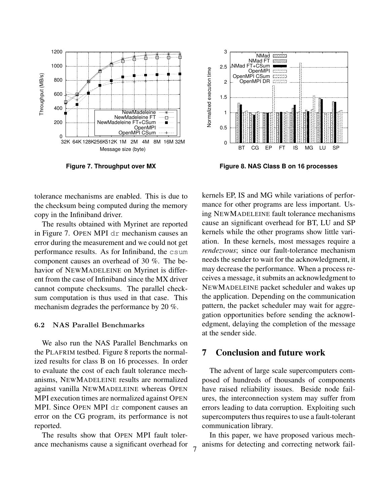

**Figure 7. Throughput over MX**

 3 NMad XXXX NMad FT NMad FT+CSum 2.5 **Jormalized** execution time Normalized execution time OpenMPI ſS, OpenMPI CSum **OpenMPI DR SENSION**  2 1.5 1 0.5 0 BT CG EP FT IS MG LU SP

**Figure 8. NAS Class B on 16 processes**

tolerance mechanisms are enabled. This is due to the checksum being computed during the memory copy in the Infiniband driver.

The results obtained with Myrinet are reported in Figure 7. OPEN MPI dr mechanism causes an error during the measurement and we could not get performance results. As for Infiniband, the csum component causes an overhead of 30 %. The behavior of NEWMADELEINE on Myrinet is different from the case of Infiniband since the MX driver cannot compute checksums. The parallel checksum computation is thus used in that case. This mechanism degrades the performance by 20 %.

### 6.2 NAS Parallel Benchmarks

We also run the NAS Parallel Benchmarks on the PLAFRIM testbed. Figure 8 reports the normalized results for class B on 16 processes. In order to evaluate the cost of each fault tolerance mechanisms, NEWMADELEINE results are normalized against vanilla NEWMADELEINE whereas OPEN MPI execution times are normalized against OPEN MPI. Since OPEN MPI dr component causes an error on the CG program, its performance is not reported.

The results show that OPEN MPI fault tolerance mechanisms cause a significant overhead for

kernels EP, IS and MG while variations of performance for other programs are less important. Using NEWMADELEINE fault tolerance mechanisms cause an significant overhead for BT, LU and SP kernels while the other programs show little variation. In these kernels, most messages require a *rendezvous*; since our fault-tolerance mechanism needs the sender to wait for the acknowledgment, it may decrease the performance. When a process receives a message, it submits an acknowledgment to NEWMADELEINE packet scheduler and wakes up the application. Depending on the communication pattern, the packet scheduler may wait for aggregation opportunities before sending the acknowledgment, delaying the completion of the message at the sender side.

## 7 Conclusion and future work

The advent of large scale supercomputers composed of hundreds of thousands of components have raised reliability issues. Beside node failures, the interconnection system may suffer from errors leading to data corruption. Exploiting such supercomputers thus requires to use a fault-tolerant communication library.

In this paper, we have proposed various mechanisms for detecting and correcting network fail- <sup>7</sup>